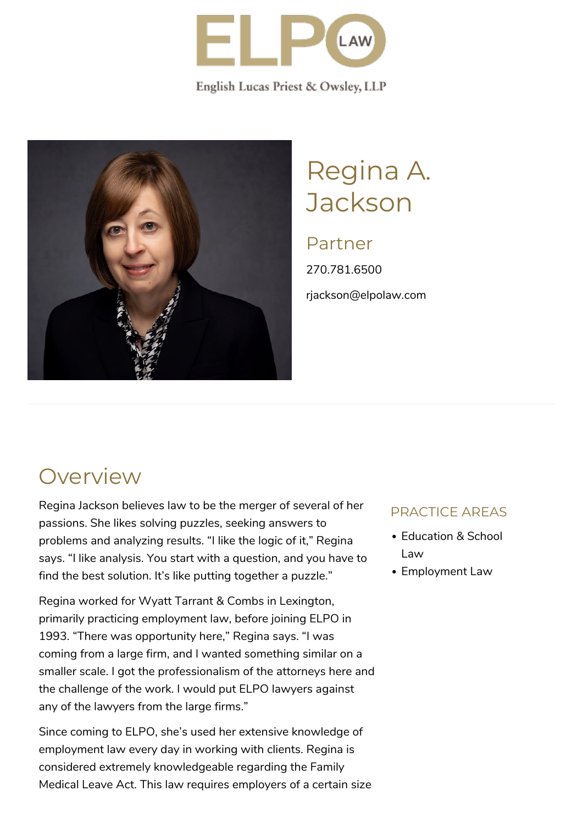

English Lucas Priest & Owsley, LLP



# Regina A. **Jackson**

### Partner

270.781.6500 rjackson@elpolaw.com

### **Overview**

Regina Jackson believes law to be the merger of several of her passions. She likes solving puzzles, seeking answers to problems and analyzing results. "I like the logic of it," Regina says. "I like analysis. You start with a question, and you have to find the best solution. It's like putting together a puzzle."

Regina worked for Wyatt Tarrant & Combs in Lexington, primarily practicing employment law, before joining ELPO in 1993. "There was opportunity here," Regina says. "I was coming from a large firm, and I wanted something similar on a smaller scale. I got the professionalism of the attorneys here and the challenge of the work. I would put ELPO lawyers against any of the lawyers from the large firms."

Since coming to ELPO, she's used her extensive knowledge of employment law every day in working with clients. Regina is considered extremely knowledgeable regarding the Family Medical Leave Act. This law requires employers of a certain size

#### PRACTICE AREAS

- Education & School Law
- Employment Law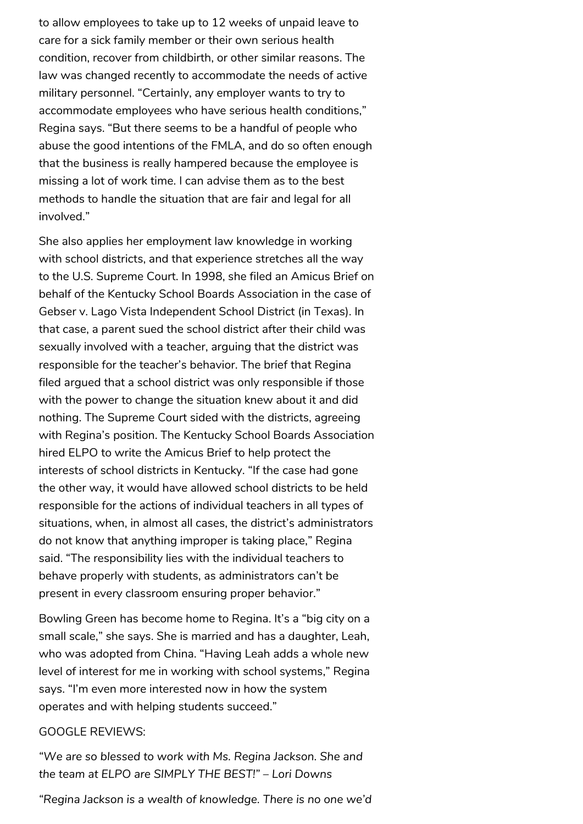to allow employees to take up to 12 weeks of unpaid leave to care for a sick family member or their own serious health condition, recover from childbirth, or other similar reasons. The law was changed recently to accommodate the needs of active military personnel. "Certainly, any employer wants to try to accommodate employees who have serious health conditions," Regina says. "But there seems to be a handful of people who abuse the good intentions of the FMLA, and do so often enough that the business is really hampered because the employee is missing a lot of work time. I can advise them as to the best methods to handle the situation that are fair and legal for all involved."

She also applies her employment law knowledge in working with school districts, and that experience stretches all the way to the U.S. Supreme Court. In 1998, she filed an Amicus Brief on behalf of the Kentucky School Boards Association in the case of Gebser v. Lago Vista Independent School District (in Texas). In that case, a parent sued the school district after their child was sexually involved with a teacher, arguing that the district was responsible for the teacher's behavior. The brief that Regina filed argued that a school district was only responsible if those with the power to change the situation knew about it and did nothing. The Supreme Court sided with the districts, agreeing with Regina's position. The Kentucky School Boards Association hired ELPO to write the Amicus Brief to help protect the interests of school districts in Kentucky. "If the case had gone the other way, it would have allowed school districts to be held responsible for the actions of individual teachers in all types of situations, when, in almost all cases, the district's administrators do not know that anything improper is taking place," Regina said. "The responsibility lies with the individual teachers to behave properly with students, as administrators can't be present in every classroom ensuring proper behavior."

Bowling Green has become home to Regina. It's a "big city on a small scale," she says. She is married and has a daughter, Leah, who was adopted from China. "Having Leah adds a whole new level of interest for me in working with school systems," Regina says. "I'm even more interested now in how the system operates and with helping students succeed."

#### GOOGLE REVIEWS:

*"We are so blessed to work with Ms. Regina Jackson. She and the team at ELPO are SIMPLY THE BEST!" – Lori Downs* 

*"Regina Jackson is a wealth of knowledge. There is no one we'd*